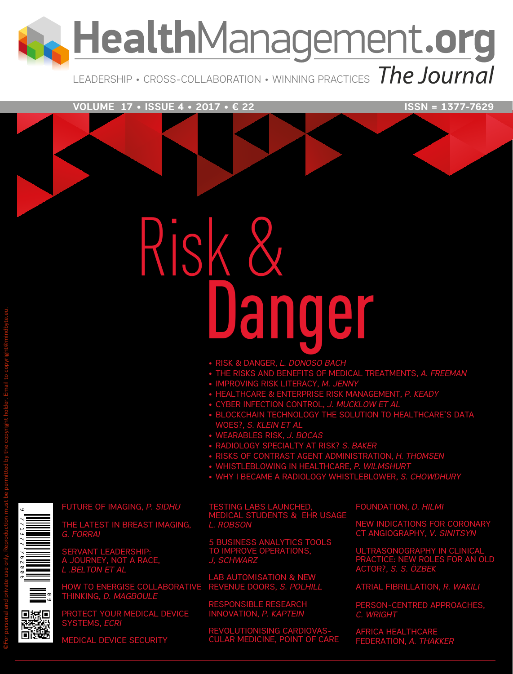LealthManagement.org

LEADERSHIP • CROSS-COLLABORATION • WINNING PRACTICES The Journal

**VOLUME 17 • ISSUE 4 • 2017 • € 22** ISSN = 1377-7629

# Risk & Danger

- • RISK & DANGER, *L. DONOSO BACH*
- • THE RISKS AND BENEFITS OF MEDICAL TREATMENTS, *A. FREEMAN*
- • IMPROVING RISK LITERACY, *M. JENNY*
- • HEALTHCARE & ENTERPRISE RISK MANAGEMENT, *P. KEADY*
- • CYBER INFECTION CONTROL, *J. MUCKLOW et al*
- BLOCKCHAIN TECHNOLOGY THE SOLUTION TO HEALTHCARE'S D woes?, *S. KLEIN et al*
- • WEARABLES RISK, *J. BOCAS*
- • RADIOLOGY SPECIALTY AT RISK? *S. BAKER*
- • RISKS OF CONTRAST AGENT ADMINISTRATION, *H. THOMSEN*
- • WHISTLEBLOWING IN HEALTHCARE, *P. WILMSHURT*
- • WHY I BECAME A RADIOLOGY WHISTLEBLOWER, *S. CHOWDHURY*

FUTURE OF IMAGING, *P. SIDHU* 

THE LATEST IN BREAST IMAGING, *G. FORRAI*

SERVANT LEADERSHIP: A JOURNEY, NOT A RACE, *L .BELTON et al*

HOW TO ENERGISE COLLABORATIVE THINKING, *D. MAGBOULE*

PROTECT YOUR MEDICAL DEVICE SYSTEMS, *ECRI*

MEDICAL DEVICE SECURITY

TESTING LABS LAUNCHED, MEDICAL STUDENTS & EHR USAGE *L. ROBSON*

5 BUSINESS ANALYTICS TOOLS TO IMPROVE OPERATIONS, *J, SCHWARZ*

LAB AUTOMISATION & NEW REVENUE DOORS, *S. POLHILL*

PONSIBLE RESEARCH INNOVATION, *P. KAPTEIN*

REVOLUTIONISING CARDIOVAS-CULAR MEDICINE, POINT OF CARE FOUNDATION, *D. HILMI*

NEW INDICATIONS FOR CORONARY CT ANGIOGRAPHY, *V. SINITSYN*

ULTRASONOGRAPHY IN CL PRACTICE: NEW ROLES FOR AN OL Actor?, *S. S. Özbek*

ATRIAL FIBRILLATION, *R. WAKILI*

PERSON-CENTRED APPROACHES, *C. WRIGHT*

AFRICA HEALTHCARE FEDERATION, *A. THAKKER*

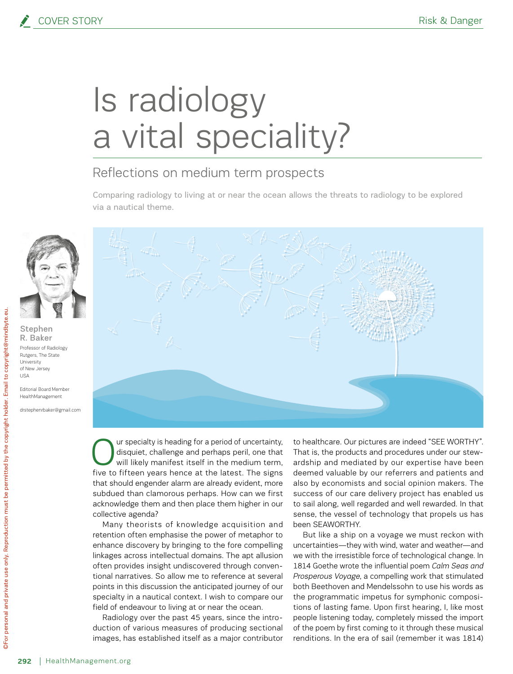## Is radiology a vital speciality?

#### Reflections on medium term prospects

Comparing radiology to living at or near the ocean allows the threats to radiology to be explored via a nautical theme.



Stephen R. Baker Professor of Radiology Rutgers, The State University of New Jersey USA

Editorial Board Member HealthManagement

drstephenrbaker@gmail.com



Our specialty is heading for a period of uncertainty,<br>disquiet, challenge and perhaps peril, one that<br>will likely manifest itself in the medium term,<br>five to fifteen vesse bange at the latest. The sizes disquiet, challenge and perhaps peril, one that will likely manifest itself in the medium term, five to fifteen years hence at the latest. The signs that should engender alarm are already evident, more subdued than clamorous perhaps. How can we first acknowledge them and then place them higher in our collective agenda?

Many theorists of knowledge acquisition and retention often emphasise the power of metaphor to enhance discovery by bringing to the fore compelling linkages across intellectual domains. The apt allusion often provides insight undiscovered through conventional narratives. So allow me to reference at several points in this discussion the anticipated journey of our specialty in a nautical context. I wish to compare our field of endeavour to living at or near the ocean.

Radiology over the past 45 years, since the introduction of various measures of producing sectional images, has established itself as a major contributor

to healthcare. Our pictures are indeed "SEE WORTHY". That is, the products and procedures under our stewardship and mediated by our expertise have been deemed valuable by our referrers and patients and also by economists and social opinion makers. The success of our care delivery project has enabled us to sail along, well regarded and well rewarded. In that sense, the vessel of technology that propels us has been SEAWORTHY.

But like a ship on a voyage we must reckon with uncertainties—they with wind, water and weather—and we with the irresistible force of technological change. In 1814 Goethe wrote the influential poem *Calm Seas and Prosperous Voyage*, a compelling work that stimulated both Beethoven and Mendelssohn to use his words as the programmatic impetus for symphonic compositions of lasting fame. Upon first hearing, I, like most people listening today, completely missed the import of the poem by first coming to it through these musical renditions. In the era of sail (remember it was 1814)